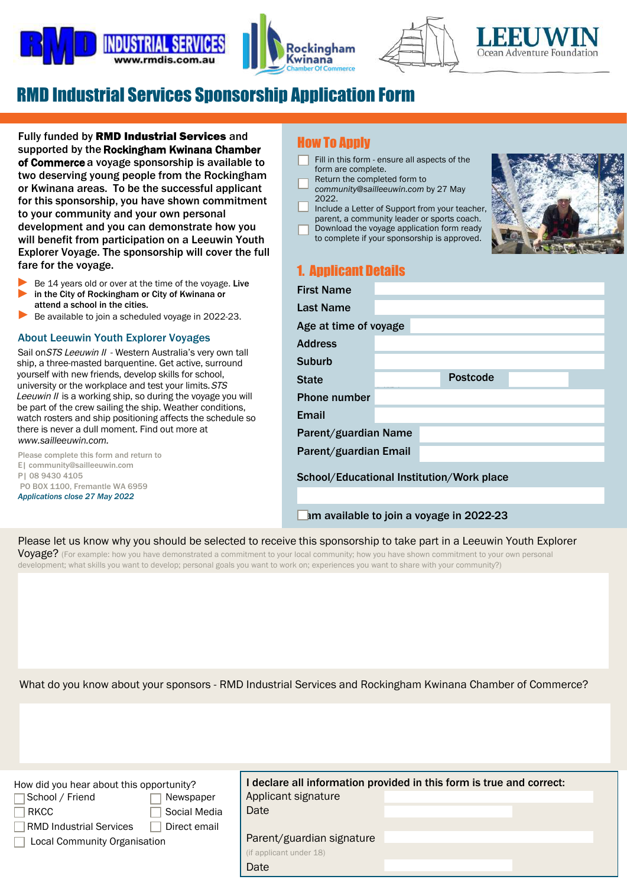







# RMD Industrial Services Sponsorship Application Form

Fully funded by RMD Industrial Services and supported by the Rockingham Kwinana Chamber of Commerce a voyage sponsorship is available to two deserving young people from the Rockingham or Kwinana areas. To be the successful applicant for this sponsorship, you have shown commitment to your community and your own personal development and you can demonstrate how you will benefit from participation on a Leeuwin Youth Explorer Voyage. The sponsorship will cover the full fare for the voyage.

- Be 14 years old or over at the time of the voyage. Live in the City of Rockingham or City of Kwinana or attend a school in the cities. ► ►
- Be available to join a scheduled voyage in 2022-23. ►

#### About Leeuwin Youth Explorer Voyages

Sail on STS Leeuwin II - Western Australia's very own tall ship, a three-masted barquentine. Get active, surround yourself with new friends, develop skills for school, university or the workplace and test your limits. STS Leeuwin II is a working ship, so during the voyage you will be part of the crew sailing the ship. Weather conditions, watch rosters and ship positioning affects the schedule so there is never a dull moment. Find out more at *[www.sailleeuwin.com.](www.sailleeuwin.com/about-us)* 

Please complete this form and return to E| community@sailleeuwin.com P| 08 9430 4105 PO BOX 1100, Fremantle WA 6959 *Applications close 27 May 2022*

## How To Apply

- Fill in this form ensure all aspects of the form are complete.
- Return the completed form to
- *community@sailleeuwin.com* by 27 May 2022.
- Include a Letter of Support from your teacher, parent, a community leader or sports coach.
- Download the [voyage application form](https://sailleeuwin.com/wp-content/uploads/2017/01/Voyage-Application-Form_July17_FINAL.pdf) ready





# 1. Applicant Details

| <b>First Name</b>     |                                           |  |                 |  |  |  |
|-----------------------|-------------------------------------------|--|-----------------|--|--|--|
| <b>Last Name</b>      |                                           |  |                 |  |  |  |
|                       | Age at time of voyage                     |  |                 |  |  |  |
| <b>Address</b>        |                                           |  |                 |  |  |  |
| Suburb                |                                           |  |                 |  |  |  |
| <b>State</b>          |                                           |  | <b>Postcode</b> |  |  |  |
| <b>Phone number</b>   |                                           |  |                 |  |  |  |
| Email                 |                                           |  |                 |  |  |  |
| Parent/guardian Name  |                                           |  |                 |  |  |  |
| Parent/guardian Email |                                           |  |                 |  |  |  |
|                       | School/Educational Institution/Work place |  |                 |  |  |  |
|                       |                                           |  |                 |  |  |  |

## Im available to join a voyage in 2022-23

## Please let us know why you should be selected to receive this sponsorship to take part in a Leeuwin Youth Explorer

Voyage? (For example: how you have demonstrated a commitment to your local community; how you have shown commitment to your own personal development; what skills you want to develop; personal goals you want to work on; experiences you want to share with your community?)

What do you know about your sponsors - RMD Industrial Services and Rockingham Kwinana Chamber of Commerce?

| How did you hear about this opportunity?       | declare all information provided in this form is true and correct: |  |  |  |
|------------------------------------------------|--------------------------------------------------------------------|--|--|--|
| School / Friend<br>Newspaper                   | Applicant signature                                                |  |  |  |
| Social Media<br><b>RKCC</b>                    | Date                                                               |  |  |  |
| Direct email<br><b>RMD Industrial Services</b> |                                                                    |  |  |  |
| <b>Local Community Organisation</b>            | Parent/guardian signature                                          |  |  |  |
|                                                | (if applicant under 18)                                            |  |  |  |
|                                                | Date                                                               |  |  |  |